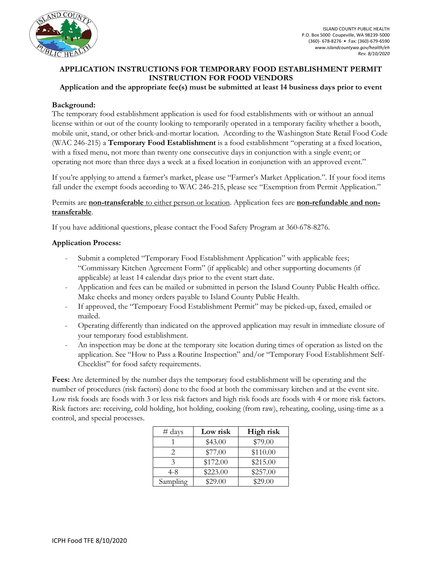

# **APPLICATION INSTRUCTIONS FOR TEMPORARY FOOD ESTABLISHMENT PERMIT INSTRUCTION FOR FOOD VENDORS**

#### **Application and the appropriate fee(s) must be submitted at least 14 business days prior to event**

### **Background:**

The temporary food establishment application is used for food establishments with or without an annual license within or out of the county looking to temporarily operated in a temporary facility whether a booth, mobile unit, stand, or other brick-and-mortar location. According to the Washington State Retail Food Code (WAC 246-215) a **Temporary Food Establishment** is a food establishment "operating at a fixed location, with a fixed menu, not more than twenty one consecutive days in conjunction with a single event; or operating not more than three days a week at a fixed location in conjunction with an approved event."

If you're applying to attend a farmer's market, please use "Farmer's Market Application.". If your food items fall under the exempt foods according to WAC 246-215, please see "Exemption from Permit Application."

### Permits are **non-transferable** to either person or location. Application fees are **non-refundable and nontransferable**.

If you have additional questions, please contact the Food Safety Program at 360-678-8276.

#### **Application Process:**

- Submit a completed "Temporary Food Establishment Application" with applicable fees; "Commissary Kitchen Agreement Form" (if applicable) and other supporting documents (if applicable) at least 14 calendar days prior to the event start date.
- Application and fees can be mailed or submitted in person the Island County Public Health office. Make checks and money orders payable to Island County Public Health.
- If approved, the "Temporary Food Establishment Permit" may be picked-up, faxed, emailed or mailed.
- Operating differently than indicated on the approved application may result in immediate closure of your temporary food establishment.
- An inspection may be done at the temporary site location during times of operation as listed on the application. See "How to Pass a Routine Inspection" and/or "Temporary Food Establishment Self-Checklist" for food safety requirements.

**Fees:** Are determined by the number days the temporary food establishment will be operating and the number of procedures (risk factors) done to the food at both the commissary kitchen and at the event site. Low risk foods are foods with 3 or less risk factors and high risk foods are foods with 4 or more risk factors. Risk factors are: receiving, cold holding, hot holding, cooking (from raw), reheating, cooling, using-time as a control, and special processes.

| $#$ days      | Low risk | High risk |
|---------------|----------|-----------|
|               | \$43.00  | \$79.00   |
|               | \$77.00  | \$110.00  |
| $\mathcal{Z}$ | \$172.00 | \$215.00  |
| $4 - 8$       | \$223.00 | \$257.00  |
| Sampling      | \$29.00  | \$29.00   |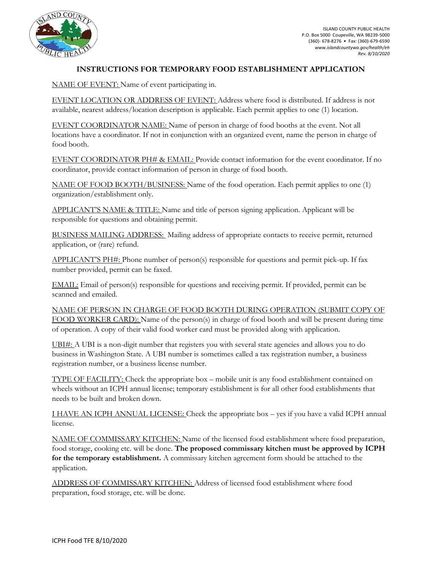

# **INSTRUCTIONS FOR TEMPORARY FOOD ESTABLISHMENT APPLICATION**

NAME OF EVENT: Name of event participating in.

EVENT LOCATION OR ADDRESS OF EVENT: Address where food is distributed. If address is not available, nearest address/location description is applicable. Each permit applies to one (1) location.

EVENT COORDINATOR NAME: Name of person in charge of food booths at the event. Not all locations have a coordinator. If not in conjunction with an organized event, name the person in charge of food booth.

EVENT COORDINATOR PH# & EMAIL: Provide contact information for the event coordinator. If no coordinator, provide contact information of person in charge of food booth.

NAME OF FOOD BOOTH/BUSINESS: Name of the food operation. Each permit applies to one (1) organization/establishment only.

APPLICANT'S NAME & TITLE: Name and title of person signing application. Applicant will be responsible for questions and obtaining permit.

BUSINESS MAILING ADDRESS: Mailing address of appropriate contacts to receive permit, returned application, or (rare) refund.

APPLICANT'S PH#: Phone number of person(s) responsible for questions and permit pick-up. If fax number provided, permit can be faxed.

EMAIL: Email of person(s) responsible for questions and receiving permit. If provided, permit can be scanned and emailed.

NAME OF PERSON IN CHARGE OF FOOD BOOTH DURING OPERATION (SUBMIT COPY OF FOOD WORKER CARD): Name of the person(s) in charge of food booth and will be present during time of operation. A copy of their valid food worker card must be provided along with application.

UBI#: A UBI is a non-digit number that registers you with several state agencies and allows you to do business in Washington State. A UBI number is sometimes called a tax registration number, a business registration number, or a business license number.

TYPE OF FACILITY: Check the appropriate box – mobile unit is any food establishment contained on wheels without an ICPH annual license; temporary establishment is for all other food establishments that needs to be built and broken down.

I HAVE AN ICPH ANNUAL LICENSE: Check the appropriate box – yes if you have a valid ICPH annual license.

NAME OF COMMISSARY KITCHEN: Name of the licensed food establishment where food preparation, food storage, cooking etc. will be done. **The proposed commissary kitchen must be approved by ICPH for the temporary establishment.** A commissary kitchen agreement form should be attached to the application.

ADDRESS OF COMMISSARY KITCHEN: Address of licensed food establishment where food preparation, food storage, etc. will be done.